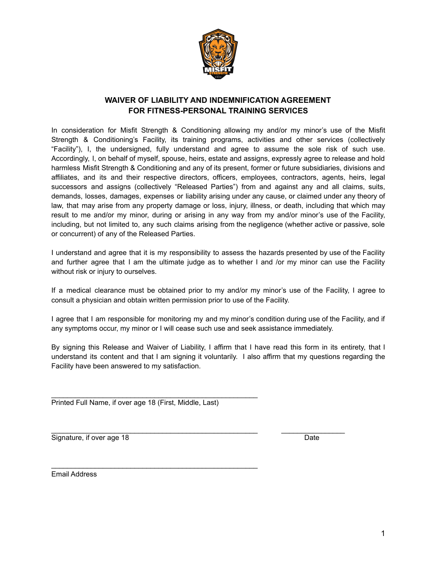

## **WAIVER OF LIABILITY AND INDEMNIFICATION AGREEMENT FOR FITNESS-PERSONAL TRAINING SERVICES**

In consideration for Misfit Strength & Conditioning allowing my and/or my minor's use of the Misfit Strength & Conditioning's Facility, its training programs, activities and other services (collectively "Facility"), I, the undersigned, fully understand and agree to assume the sole risk of such use. Accordingly, I, on behalf of myself, spouse, heirs, estate and assigns, expressly agree to release and hold harmless Misfit Strength & Conditioning and any of its present, former or future subsidiaries, divisions and affiliates, and its and their respective directors, officers, employees, contractors, agents, heirs, legal successors and assigns (collectively "Released Parties") from and against any and all claims, suits, demands, losses, damages, expenses or liability arising under any cause, or claimed under any theory of law, that may arise from any property damage or loss, injury, illness, or death, including that which may result to me and/or my minor, during or arising in any way from my and/or minor's use of the Facility, including, but not limited to, any such claims arising from the negligence (whether active or passive, sole or concurrent) of any of the Released Parties.

I understand and agree that it is my responsibility to assess the hazards presented by use of the Facility and further agree that I am the ultimate judge as to whether I and /or my minor can use the Facility without risk or injury to ourselves.

If a medical clearance must be obtained prior to my and/or my minor's use of the Facility, I agree to consult a physician and obtain written permission prior to use of the Facility.

I agree that I am responsible for monitoring my and my minor's condition during use of the Facility, and if any symptoms occur, my minor or I will cease such use and seek assistance immediately.

By signing this Release and Waiver of Liability, I affirm that I have read this form in its entirety, that I understand its content and that I am signing it voluntarily. I also affirm that my questions regarding the Facility have been answered to my satisfaction.

 $\_$  ,  $\_$  ,  $\_$  ,  $\_$  ,  $\_$  ,  $\_$  ,  $\_$  ,  $\_$  ,  $\_$  ,  $\_$  ,  $\_$  ,  $\_$  ,  $\_$  ,  $\_$  ,  $\_$  ,  $\_$  ,  $\_$  ,  $\_$  ,  $\_$ 

Printed Full Name, if over age 18 (First, Middle, Last)

\_\_\_\_\_\_\_\_\_\_\_\_\_\_\_\_\_\_\_\_\_\_\_\_\_\_\_\_\_\_\_\_\_\_\_\_\_\_\_\_\_\_\_\_\_\_\_\_\_\_\_\_

\_\_\_\_\_\_\_\_\_\_\_\_\_\_\_\_\_\_\_\_\_\_\_\_\_\_\_\_\_\_\_\_\_\_\_\_\_\_\_\_\_\_\_\_\_\_\_\_\_\_\_\_

Signature, if over age 18 Date

Email Address